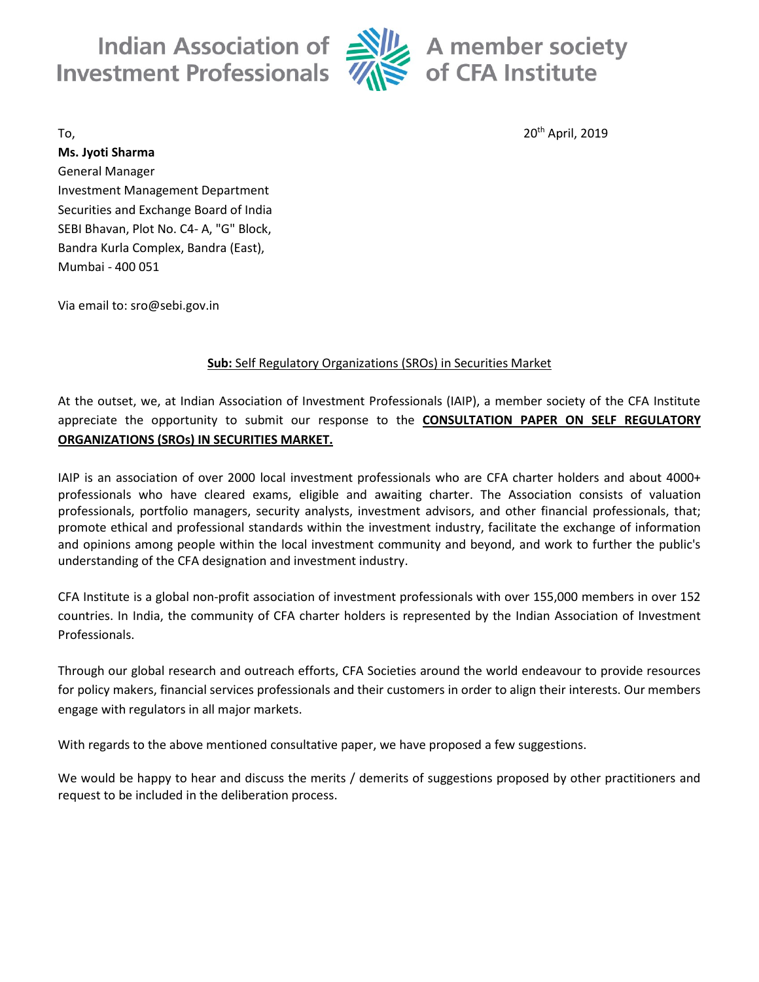Indian Association of **Investment Professionals** 



 $\frac{1}{2}$  A member society  $\frac{1}{2}$  of CFA Institute

## To, the contract of the contract of  $20^{\text{th}}$  April, 2019  $20^{\text{th}}$  April, 2019

**Ms. Jyoti Sharma** General Manager Investment Management Department Securities and Exchange Board of India SEBI Bhavan, Plot No. C4- A, "G" Block, Bandra Kurla Complex, Bandra (East), Mumbai - 400 051

Via email to: sro@sebi.gov.in

# **Sub:** Self Regulatory Organizations (SROs) in Securities Market

At the outset, we, at Indian Association of Investment Professionals (IAIP), a member society of the CFA Institute appreciate the opportunity to submit our response to the **CONSULTATION PAPER ON SELF REGULATORY ORGANIZATIONS (SROs) IN SECURITIES MARKET.**

IAIP is an association of over 2000 local investment professionals who are CFA charter holders and about 4000+ professionals who have cleared exams, eligible and awaiting charter. The Association consists of valuation professionals, portfolio managers, security analysts, investment advisors, and other financial professionals, that; promote ethical and professional standards within the investment industry, facilitate the exchange of information and opinions among people within the local investment community and beyond, and work to further the public's understanding of the CFA designation and investment industry.

CFA Institute is a global non-profit association of investment professionals with over 155,000 members in over 152 countries. In India, the community of CFA charter holders is represented by the Indian Association of Investment Professionals.

Through our global research and outreach efforts, CFA Societies around the world endeavour to provide resources for policy makers, financial services professionals and their customers in order to align their interests. Our members engage with regulators in all major markets.

With regards to the above mentioned consultative paper, we have proposed a few suggestions.

We would be happy to hear and discuss the merits / demerits of suggestions proposed by other practitioners and request to be included in the deliberation process.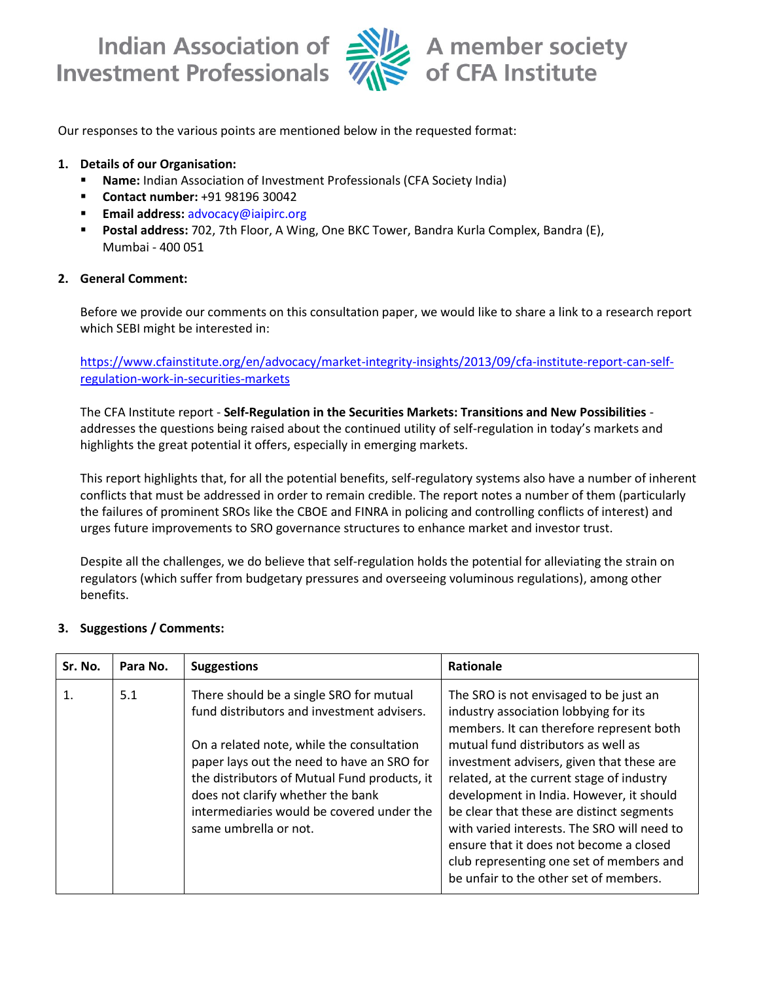**Investment Professionals** 



Our responses to the various points are mentioned below in the requested format:

### **1. Details of our Organisation:**

- **Name:** Indian Association of Investment Professionals (CFA Society India)
- **Contact number:** +91 98196 30042
- **Email address:** [advocacy@iaipirc.org](mailto:advocacy@iaipirc.org)
- **Postal address:** 702, 7th Floor, A Wing, One BKC Tower, Bandra Kurla Complex, Bandra (E), Mumbai - 400 051

### **2. General Comment:**

Before we provide our comments on this consultation paper, we would like to share a link to a research report which SEBI might be interested in:

[https://www.cfainstitute.org/en/advocacy/market-integrity-insights/2013/09/cfa-institute-report-can-self](https://www.cfainstitute.org/en/advocacy/market-integrity-insights/2013/09/cfa-institute-report-can-self-regulation-work-in-securities-markets)[regulation-work-in-securities-markets](https://www.cfainstitute.org/en/advocacy/market-integrity-insights/2013/09/cfa-institute-report-can-self-regulation-work-in-securities-markets)

The CFA Institute report - **Self-Regulation in the Securities Markets: Transitions and New Possibilities** addresses the questions being raised about the continued utility of self-regulation in today's markets and highlights the great potential it offers, especially in emerging markets.

This report highlights that, for all the potential benefits, self-regulatory systems also have a number of inherent conflicts that must be addressed in order to remain credible. The report notes a number of them (particularly the failures of prominent SROs like the CBOE and FINRA in policing and controlling conflicts of interest) and urges future improvements to SRO governance structures to enhance market and investor trust.

Despite all the challenges, we do believe that self-regulation holds the potential for alleviating the strain on regulators (which suffer from budgetary pressures and overseeing voluminous regulations), among other benefits.

### **3. Suggestions / Comments:**

| Sr. No. | Para No. | <b>Suggestions</b>                                                                                                                                                                                                                                                                                                                          | <b>Rationale</b>                                                                                                                                                                                                                                                                                                                                                                                                                                                                                                                      |
|---------|----------|---------------------------------------------------------------------------------------------------------------------------------------------------------------------------------------------------------------------------------------------------------------------------------------------------------------------------------------------|---------------------------------------------------------------------------------------------------------------------------------------------------------------------------------------------------------------------------------------------------------------------------------------------------------------------------------------------------------------------------------------------------------------------------------------------------------------------------------------------------------------------------------------|
|         | 5.1      | There should be a single SRO for mutual<br>fund distributors and investment advisers.<br>On a related note, while the consultation<br>paper lays out the need to have an SRO for<br>the distributors of Mutual Fund products, it<br>does not clarify whether the bank<br>intermediaries would be covered under the<br>same umbrella or not. | The SRO is not envisaged to be just an<br>industry association lobbying for its<br>members. It can therefore represent both<br>mutual fund distributors as well as<br>investment advisers, given that these are<br>related, at the current stage of industry<br>development in India. However, it should<br>be clear that these are distinct segments<br>with varied interests. The SRO will need to<br>ensure that it does not become a closed<br>club representing one set of members and<br>be unfair to the other set of members. |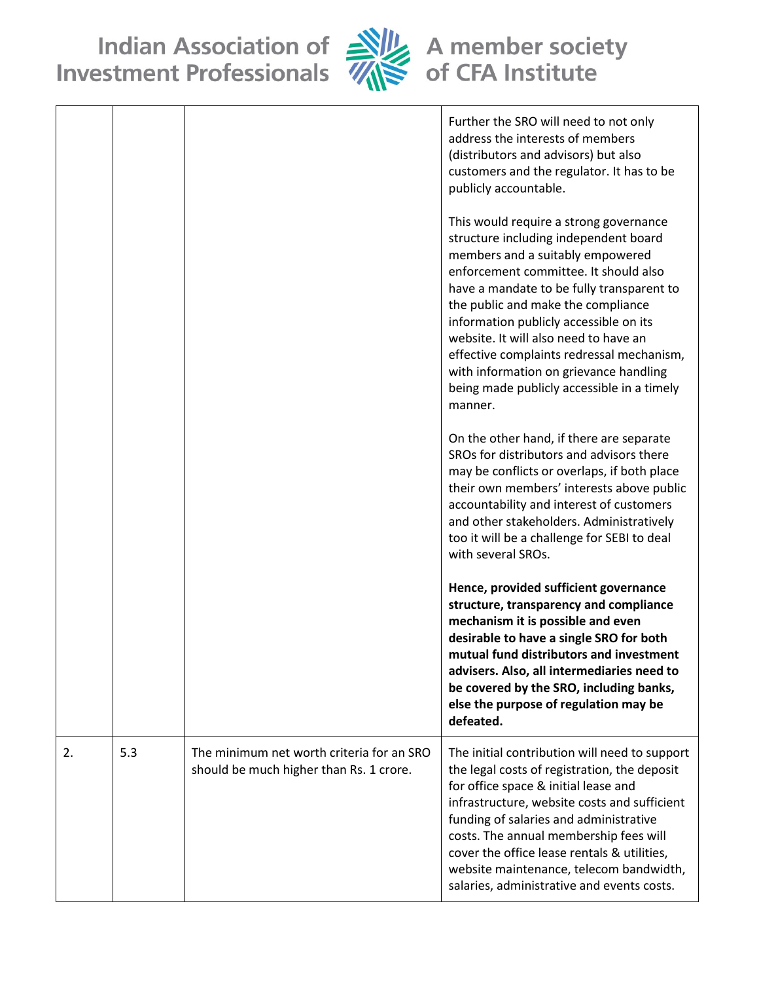Indian Association of Alle A member society<br>Investment Professionals Alle of CFA Institute



|    |     |                                                                                      | Further the SRO will need to not only<br>address the interests of members<br>(distributors and advisors) but also<br>customers and the regulator. It has to be<br>publicly accountable.<br>This would require a strong governance<br>structure including independent board<br>members and a suitably empowered<br>enforcement committee. It should also<br>have a mandate to be fully transparent to<br>the public and make the compliance<br>information publicly accessible on its<br>website. It will also need to have an<br>effective complaints redressal mechanism,<br>with information on grievance handling<br>being made publicly accessible in a timely<br>manner.<br>On the other hand, if there are separate<br>SROs for distributors and advisors there<br>may be conflicts or overlaps, if both place<br>their own members' interests above public<br>accountability and interest of customers<br>and other stakeholders. Administratively<br>too it will be a challenge for SEBI to deal<br>with several SROs.<br>Hence, provided sufficient governance<br>structure, transparency and compliance<br>mechanism it is possible and even<br>desirable to have a single SRO for both<br>mutual fund distributors and investment<br>advisers. Also, all intermediaries need to<br>be covered by the SRO, including banks,<br>else the purpose of regulation may be |
|----|-----|--------------------------------------------------------------------------------------|--------------------------------------------------------------------------------------------------------------------------------------------------------------------------------------------------------------------------------------------------------------------------------------------------------------------------------------------------------------------------------------------------------------------------------------------------------------------------------------------------------------------------------------------------------------------------------------------------------------------------------------------------------------------------------------------------------------------------------------------------------------------------------------------------------------------------------------------------------------------------------------------------------------------------------------------------------------------------------------------------------------------------------------------------------------------------------------------------------------------------------------------------------------------------------------------------------------------------------------------------------------------------------------------------------------------------------------------------------------------------------|
|    |     |                                                                                      | defeated.                                                                                                                                                                                                                                                                                                                                                                                                                                                                                                                                                                                                                                                                                                                                                                                                                                                                                                                                                                                                                                                                                                                                                                                                                                                                                                                                                                      |
| 2. | 5.3 | The minimum net worth criteria for an SRO<br>should be much higher than Rs. 1 crore. | The initial contribution will need to support<br>the legal costs of registration, the deposit<br>for office space & initial lease and<br>infrastructure, website costs and sufficient<br>funding of salaries and administrative<br>costs. The annual membership fees will<br>cover the office lease rentals & utilities,<br>website maintenance, telecom bandwidth,<br>salaries, administrative and events costs.                                                                                                                                                                                                                                                                                                                                                                                                                                                                                                                                                                                                                                                                                                                                                                                                                                                                                                                                                              |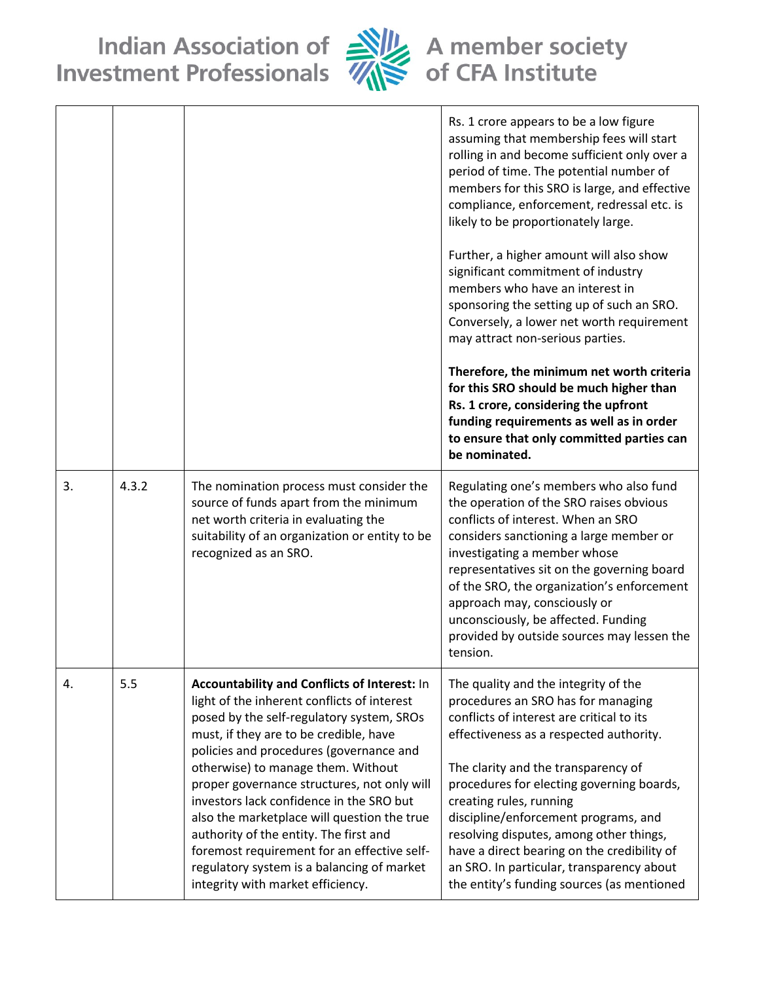Indian Association of Alle A member society<br>Investment Professionals Alle of CFA Institute



|    |       |                                                                                                                                                                                                                                                                                                                                                                                                                                                                                                                                                                                           | Rs. 1 crore appears to be a low figure<br>assuming that membership fees will start<br>rolling in and become sufficient only over a<br>period of time. The potential number of<br>members for this SRO is large, and effective<br>compliance, enforcement, redressal etc. is<br>likely to be proportionately large.<br>Further, a higher amount will also show<br>significant commitment of industry<br>members who have an interest in<br>sponsoring the setting up of such an SRO.<br>Conversely, a lower net worth requirement<br>may attract non-serious parties.<br>Therefore, the minimum net worth criteria<br>for this SRO should be much higher than<br>Rs. 1 crore, considering the upfront<br>funding requirements as well as in order<br>to ensure that only committed parties can<br>be nominated. |
|----|-------|-------------------------------------------------------------------------------------------------------------------------------------------------------------------------------------------------------------------------------------------------------------------------------------------------------------------------------------------------------------------------------------------------------------------------------------------------------------------------------------------------------------------------------------------------------------------------------------------|----------------------------------------------------------------------------------------------------------------------------------------------------------------------------------------------------------------------------------------------------------------------------------------------------------------------------------------------------------------------------------------------------------------------------------------------------------------------------------------------------------------------------------------------------------------------------------------------------------------------------------------------------------------------------------------------------------------------------------------------------------------------------------------------------------------|
| 3. | 4.3.2 | The nomination process must consider the<br>source of funds apart from the minimum<br>net worth criteria in evaluating the<br>suitability of an organization or entity to be<br>recognized as an SRO.                                                                                                                                                                                                                                                                                                                                                                                     | Regulating one's members who also fund<br>the operation of the SRO raises obvious<br>conflicts of interest. When an SRO<br>considers sanctioning a large member or<br>investigating a member whose<br>representatives sit on the governing board<br>of the SRO, the organization's enforcement<br>approach may, consciously or<br>unconsciously, be affected. Funding<br>provided by outside sources may lessen the<br>tension.                                                                                                                                                                                                                                                                                                                                                                                |
| 4. | 5.5   | Accountability and Conflicts of Interest: In<br>light of the inherent conflicts of interest<br>posed by the self-regulatory system, SROs<br>must, if they are to be credible, have<br>policies and procedures (governance and<br>otherwise) to manage them. Without<br>proper governance structures, not only will<br>investors lack confidence in the SRO but<br>also the marketplace will question the true<br>authority of the entity. The first and<br>foremost requirement for an effective self-<br>regulatory system is a balancing of market<br>integrity with market efficiency. | The quality and the integrity of the<br>procedures an SRO has for managing<br>conflicts of interest are critical to its<br>effectiveness as a respected authority.<br>The clarity and the transparency of<br>procedures for electing governing boards,<br>creating rules, running<br>discipline/enforcement programs, and<br>resolving disputes, among other things,<br>have a direct bearing on the credibility of<br>an SRO. In particular, transparency about<br>the entity's funding sources (as mentioned                                                                                                                                                                                                                                                                                                 |